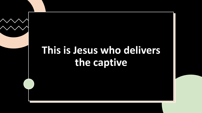# **This is Jesus who delivers the captive**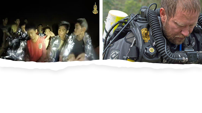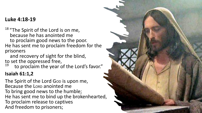#### **Luke 4:18-19**

<sup>18</sup> "The Spirit of the Lord is on me, because he has anointed me to proclaim good news to the poor. He has sent me to proclaim freedom for the prisoners

 and recovery of sight for the blind, to set the oppressed free,

to proclaim the year of the Lord's favor."

#### **Isaiah 61:1,2**

The Spirit of the Lord Gop is upon me, Because the LORD anointed me To bring good news to the humble; He has sent me to bind up the brokenhearted, To proclaim release to captives And freedom to prisoners;

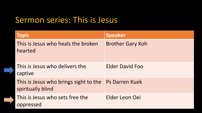## Sermon series: This is Jesus

| <b>Topic</b>                                                              | <b>Speaker</b>          |
|---------------------------------------------------------------------------|-------------------------|
| This is Jesus who heals the broken<br>hearted                             | <b>Brother Gary Koh</b> |
| This is Jesus who delivers the<br>captive                                 | <b>Elder David Foo</b>  |
| This is Jesus who brings sight to the Ps Darren Kuek<br>spiritually blind |                         |
| This is Jesus who sets free the<br>oppressed                              | Elder Leon Oei          |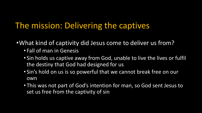## The mission: Delivering the captives

- •What kind of captivity did Jesus come to deliver us from?
	- Fall of man in Genesis
	- Sin holds us captive away from God, unable to live the lives or fulfil the destiny that God had designed for us
	- Sin's hold on us is so powerful that we cannot break free on our own
	- This was not part of God's intention for man, so God sent Jesus to set us free from the captivity of sin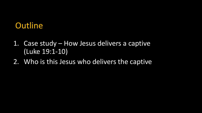#### **Outline**

- 1. Case study How Jesus delivers a captive (Luke 19:1-10)
- 2. Who is this Jesus who delivers the captive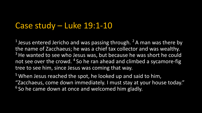#### Case study – Luke 19:1-10

<sup>1</sup> Jesus entered Jericho and was passing through. <sup>2</sup> A man was there by the name of Zacchaeus; he was a chief tax collector and was wealthy. <sup>3</sup> He wanted to see who Jesus was, but because he was short he could not see over the crowd. <sup>4</sup> So he ran ahead and climbed a sycamore-fig tree to see him, since Jesus was coming that way.

 $5$  When Jesus reached the spot, he looked up and said to him, "Zacchaeus, come down immediately. I must stay at your house today."  $6$  So he came down at once and welcomed him gladly.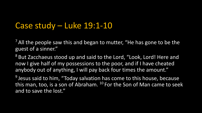#### Case study – Luke 19:1-10

 $<sup>7</sup>$  All the people saw this and began to mutter, "He has gone to be the</sup> guest of a sinner."

<sup>8</sup> But Zacchaeus stood up and said to the Lord, "Look, Lord! Here and now I give half of my possessions to the poor, and if I have cheated anybody out of anything, I will pay back four times the amount."

 $9$  Jesus said to him, "Today salvation has come to this house, because this man, too, is a son of Abraham.  $10$  For the Son of Man came to seek and to save the lost."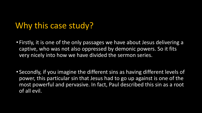### Why this case study?

- Firstly, it is one of the only passages we have about Jesus delivering a captive, who was not also oppressed by demonic powers. So it fits very nicely into how we have divided the sermon series.
- Secondly, if you imagine the different sins as having different levels of power, this particular sin that Jesus had to go up against is one of the most powerful and pervasive. In fact, Paul described this sin as a root of all evil.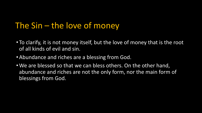## The Sin – the love of money

- To clarify, it is not money itself, but the love of money that is the root of all kinds of evil and sin.
- •Abundance and riches are a blessing from God.
- •We are blessed so that we can bless others. On the other hand, abundance and riches are not the only form, nor the main form of blessings from God.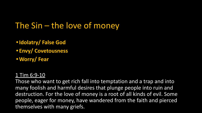## The Sin – the love of money

- **•Idolatry/ False God**
- **• Envy/ Covetousness**
- **•Worry/ Fear**

#### 1 Tim 6:9-10

Those who want to get rich fall into temptation and a trap and into many foolish and harmful desires that plunge people into ruin and destruction. For the love of money is a root of all kinds of evil. Some people, eager for money, have wandered from the faith and pierced themselves with many griefs.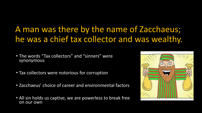## A man was there by the name of Zacchaeus; he was a chief tax collector and was wealthy.

- The words "Tax collectors" and "sinners" were synonymous
- Tax collectors were notorious for corruption
- Zacchaeus' choice of career and environmental factors
- All sin holds us captive, we are powerless to break free on our own

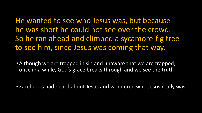He wanted to see who Jesus was, but because he was short he could not see over the crowd. So he ran ahead and climbed a sycamore-fig tree to see him, since Jesus was coming that way.

•Although we are trapped in sin and unaware that we are trapped, once in a while, God's grace breaks through and we see the truth

• Zacchaeus had heard about Jesus and wondered who Jesus really was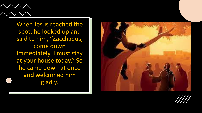When Jesus reached the spot, he looked up and said to him, "Zacchaeus, come down immediately. I must stay at your house today." So he came down at once and welcomed him gladly.



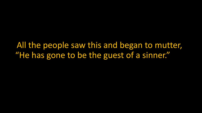All the people saw this and began to mutter, "He has gone to be the guest of a sinner."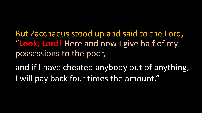## But Zacchaeus stood up and said to the Lord, "**Look, Lord!** Here and now I give half of my possessions to the poor,

and if I have cheated anybody out of anything, I will pay back four times the amount."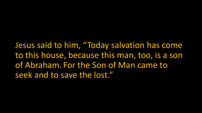Jesus said to him, "Today salvation has come to this house, because this man, too, is a son of Abraham. For the Son of Man came to seek and to save the lost."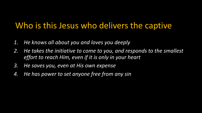### Who is this Jesus who delivers the captive

- *1. He knows all about you and loves you deeply*
- *2. He takes the initiative to come to you, and responds to the smallest effort to reach Him, even if it is only in your heart*
- *3. He saves you, even at His own expense*
- *4. He has power to set anyone free from any sin*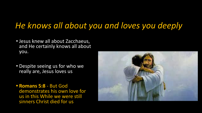## *He knows all about you and loves you deeply*

- · Jesus knew all about Zacchaeus, and He certainly knows all about you.
- Despite seeing us for who we really are, Jesus loves us
- **• Romans 5:8** But God demonstrates his own love for us in this While we were still sinners Christ died for us

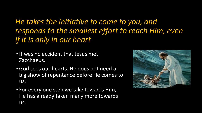*He takes the initiative to come to you, and responds to the smallest effort to reach Him, even if it is only in our heart*

- •It was no accident that Jesus met Zacchaeus.
- •God sees our hearts. He does not need a big show of repentance before He comes to us.
- For every one step we take towards Him, He has already taken many more towards us.

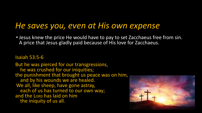#### *He saves you, even at His own expense*

• Jesus knew the price He would have to pay to set Zacchaeus free from sin. A price that Jesus gladly paid because of His love for Zacchaeus.

Isaiah 53:5-6

But he was pierced for our transgressions, he was crushed for our iniquities; the punishment that brought us peace was on him, and by his wounds we are healed. We all, like sheep, have gone astray, each of us has turned to our own way; and the LORD has laid on him the iniquity of us all.

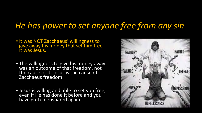## *He has power to set anyone free from any sin*

- It was NOT Zacchaeus' willingness to give away his money that set him free. It was Jesus.
- The willingness to give his money away was an outcome of that freedom, not the cause of it. Jesus is the cause of Zacchaeus freedom.
- Jesus is willing and able to set you free, even if He has done it before and you have gotten ensnared again

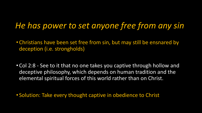#### *He has power to set anyone free from any sin*

- Christians have been set free from sin, but may still be ensnared by deception (i.e. strongholds)
- Col 2:8 See to it that no one takes you captive through hollow and deceptive philosophy, which depends on human tradition and the elemental spiritual forces of this world rather than on Christ.

• Solution: Take every thought captive in obedience to Christ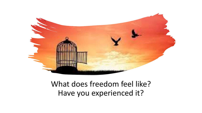

#### What does freedom feel like? Have you experienced it?